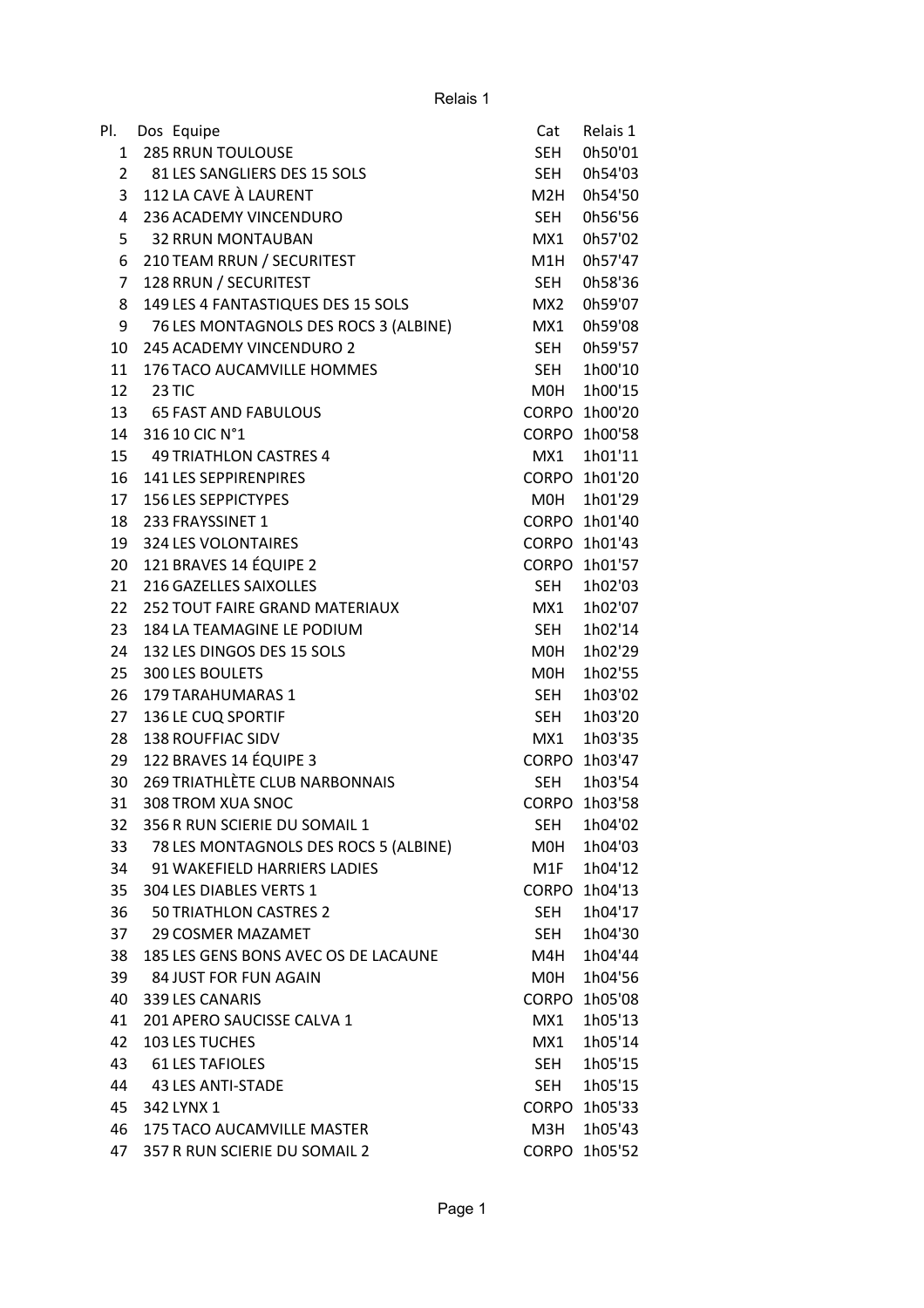| Pl.            | Dos Equipe                            | Cat          | Relais 1      |
|----------------|---------------------------------------|--------------|---------------|
| $\mathbf{1}$   | <b>285 RRUN TOULOUSE</b>              | <b>SEH</b>   | 0h50'01       |
| $\overline{2}$ | 81 LES SANGLIERS DES 15 SOLS          | <b>SEH</b>   | 0h54'03       |
| 3              | 112 LA CAVE À LAURENT                 | M2H          | 0h54'50       |
| 4              | 236 ACADEMY VINCENDURO                | SEH          | 0h56'56       |
| 5              | <b>32 RRUN MONTAUBAN</b>              | MX1          | 0h57'02       |
| 6              | 210 TEAM RRUN / SECURITEST            | M1H          | 0h57'47       |
| $\overline{7}$ | 128 RRUN / SECURITEST                 | <b>SEH</b>   | 0h58'36       |
| 8              | 149 LES 4 FANTASTIQUES DES 15 SOLS    | MX2          | 0h59'07       |
| 9              | 76 LES MONTAGNOLS DES ROCS 3 (ALBINE) | MX1          | 0h59'08       |
| 10             | 245 ACADEMY VINCENDURO 2              | <b>SEH</b>   | 0h59'57       |
| 11             | 176 TACO AUCAMVILLE HOMMES            | SEH          | 1h00'10       |
| 12             | 23 TIC                                | M0H          | 1h00'15       |
| 13             | <b>65 FAST AND FABULOUS</b>           |              | CORPO 1h00'20 |
| 14             | 316 10 CIC N°1                        | <b>CORPO</b> | 1h00'58       |
| 15             | 49 TRIATHLON CASTRES 4                | MX1          | 1h01'11       |
| 16             | 141 LES SEPPIRENPIRES                 | <b>CORPO</b> | 1h01'20       |
| 17             | <b>156 LES SEPPICTYPES</b>            | <b>MOH</b>   | 1h01'29       |
| 18             | 233 FRAYSSINET 1                      |              | CORPO 1h01'40 |
| 19             | 324 LES VOLONTAIRES                   |              | CORPO 1h01'43 |
| 20             | 121 BRAVES 14 ÉQUIPE 2                | <b>CORPO</b> | 1h01'57       |
| 21             | 216 GAZELLES SAIXOLLES                | SEH          | 1h02'03       |
| 22             | <b>252 TOUT FAIRE GRAND MATERIAUX</b> | MX1          | 1h02'07       |
| 23             | 184 LA TEAMAGINE LE PODIUM            | SEH          | 1h02'14       |
| 24             | 132 LES DINGOS DES 15 SOLS            | M0H          | 1h02'29       |
| 25             | 300 LES BOULETS                       | M0H          | 1h02'55       |
| 26             | 179 TARAHUMARAS 1                     | <b>SEH</b>   | 1h03'02       |
| 27             | 136 LE CUQ SPORTIF                    | SEH          | 1h03'20       |
| 28             | <b>138 ROUFFIAC SIDV</b>              | MX1          | 1h03'35       |
| 29             | 122 BRAVES 14 ÉQUIPE 3                | <b>CORPO</b> | 1h03'47       |
| 30             | 269 TRIATHLÈTE CLUB NARBONNAIS        | <b>SEH</b>   | 1h03'54       |
| 31             | 308 TROM XUA SNOC                     |              | CORPO 1h03'58 |
| 32             | 356 R RUN SCIERIE DU SOMAIL 1         | SEH          | 1h04'02       |
| 33             | 78 LES MONTAGNOLS DES ROCS 5 (ALBINE) | MOH          | 1h04'03       |
| 34             | 91 WAKEFIELD HARRIERS LADIES          | M1F          | 1h04'12       |
| 35             | 304 LES DIABLES VERTS 1               | <b>CORPO</b> | 1h04'13       |
| 36             | 50 TRIATHLON CASTRES 2                | <b>SEH</b>   | 1h04'17       |
| 37             | <b>29 COSMER MAZAMET</b>              | <b>SEH</b>   | 1h04'30       |
| 38             | 185 LES GENS BONS AVEC OS DE LACAUNE  | M4H          | 1h04'44       |
| 39             | 84 JUST FOR FUN AGAIN                 | M0H          | 1h04'56       |
| 40             | 339 LES CANARIS                       | <b>CORPO</b> | 1h05'08       |
| 41             | 201 APERO SAUCISSE CALVA 1            | MX1          | 1h05'13       |
| 42             | 103 LES TUCHES                        | MX1          | 1h05'14       |
| 43             | <b>61 LES TAFIOLES</b>                | SEH          | 1h05'15       |
| 44             | 43 LES ANTI-STADE                     | <b>SEH</b>   | 1h05'15       |
| 45             | 342 LYNX 1                            |              | CORPO 1h05'33 |
| 46             | 175 TACO AUCAMVILLE MASTER            | МЗН          | 1h05'43       |
| 47             | 357 R RUN SCIERIE DU SOMAIL 2         |              | CORPO 1h05'52 |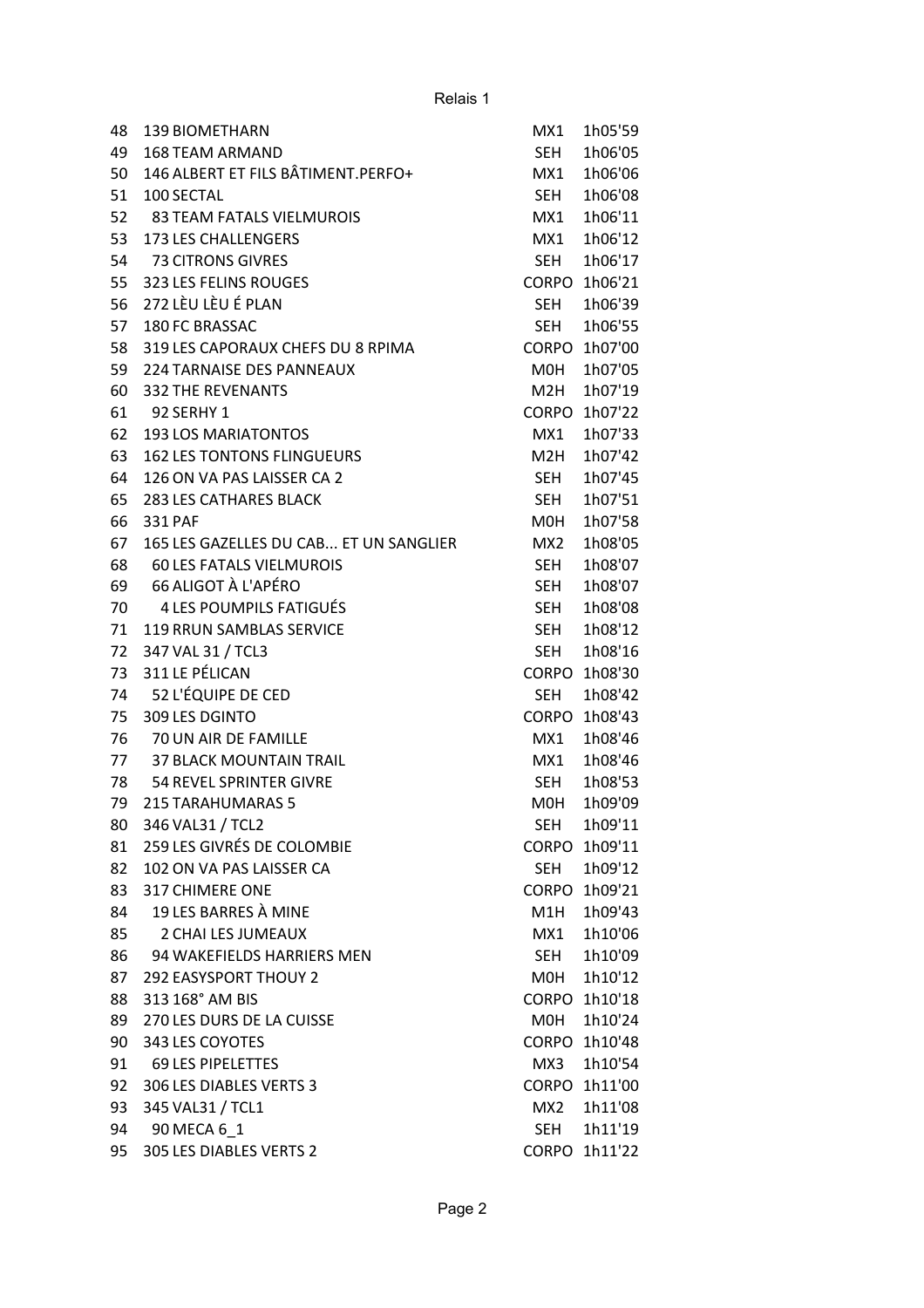| 48 | <b>139 BIOMETHARN</b>                  | MX1             | 1h05'59       |
|----|----------------------------------------|-----------------|---------------|
| 49 | <b>168 TEAM ARMAND</b>                 | <b>SEH</b>      | 1h06'05       |
| 50 | 146 ALBERT ET FILS BÂTIMENT.PERFO+     | MX1             | 1h06'06       |
| 51 | 100 SECTAL                             | SEH             | 1h06'08       |
| 52 | <b>83 TEAM FATALS VIELMUROIS</b>       | MX1             | 1h06'11       |
| 53 | 173 LES CHALLENGERS                    | MX1             | 1h06'12       |
| 54 | 73 CITRONS GIVRES                      | SEH             | 1h06'17       |
| 55 | 323 LES FELINS ROUGES                  | <b>CORPO</b>    | 1h06'21       |
| 56 | 272 LÈU LÈU É PLAN                     | SEH             | 1h06'39       |
| 57 | 180 FC BRASSAC                         | <b>SEH</b>      | 1h06'55       |
| 58 | 319 LES CAPORAUX CHEFS DU 8 RPIMA      | <b>CORPO</b>    | 1h07'00       |
| 59 | 224 TARNAISE DES PANNEAUX              | M0H             | 1h07'05       |
| 60 | <b>332 THE REVENANTS</b>               | M2H             | 1h07'19       |
| 61 | 92 SERHY 1                             | <b>CORPO</b>    | 1h07'22       |
| 62 | <b>193 LOS MARIATONTOS</b>             | MX1             | 1h07'33       |
| 63 | <b>162 LES TONTONS FLINGUEURS</b>      | M2H             | 1h07'42       |
| 64 | 126 ON VA PAS LAISSER CA 2             | SEH             | 1h07'45       |
| 65 | 283 LES CATHARES BLACK                 | <b>SEH</b>      | 1h07'51       |
| 66 | 331 PAF                                | M0H             | 1h07'58       |
| 67 | 165 LES GAZELLES DU CAB ET UN SANGLIER | MX <sub>2</sub> | 1h08'05       |
| 68 | <b>60 LES FATALS VIELMUROIS</b>        | <b>SEH</b>      | 1h08'07       |
| 69 | 66 ALIGOT À L'APÉRO                    | SEH             | 1h08'07       |
| 70 | 4 LES POUMPILS FATIGUÉS                | SEH             | 1h08'08       |
| 71 | 119 RRUN SAMBLAS SERVICE               | <b>SEH</b>      | 1h08'12       |
| 72 | 347 VAL 31 / TCL3                      | <b>SEH</b>      | 1h08'16       |
| 73 | 311 LE PÉLICAN                         | <b>CORPO</b>    | 1h08'30       |
| 74 | 52 L'ÉQUIPE DE CED                     | <b>SEH</b>      | 1h08'42       |
| 75 | 309 LES DGINTO                         | <b>CORPO</b>    | 1h08'43       |
| 76 | 70 UN AIR DE FAMILLE                   | MX1             | 1h08'46       |
| 77 | <b>37 BLACK MOUNTAIN TRAIL</b>         | MX1             | 1h08'46       |
| 78 | 54 REVEL SPRINTER GIVRE                | <b>SEH</b>      | 1h08'53       |
| 79 | <b>215 TARAHUMARAS 5</b>               | M0H             | 1h09'09       |
| 80 | 346 VAL31 / TCL2                       | SEH             | 1h09'11       |
| 81 | 259 LES GIVRÉS DE COLOMBIE             | <b>CORPO</b>    | 1h09'11       |
| 82 | 102 ON VA PAS LAISSER CA               | SEH             | 1h09'12       |
| 83 | <b>317 CHIMERE ONE</b>                 | <b>CORPO</b>    | 1h09'21       |
| 84 | 19 LES BARRES À MINE                   | M1H             | 1h09'43       |
| 85 | 2 CHAI LES JUMEAUX                     | MX1             | 1h10'06       |
| 86 | 94 WAKEFIELDS HARRIERS MEN             | <b>SEH</b>      | 1h10'09       |
| 87 | <b>292 EASYSPORT THOUY 2</b>           | M0H             | 1h10'12       |
| 88 | 313 168° AM BIS                        |                 | CORPO 1h10'18 |
| 89 | 270 LES DURS DE LA CUISSE              | MOH             | 1h10'24       |
| 90 | 343 LES COYOTES                        |                 | CORPO 1h10'48 |
| 91 | <b>69 LES PIPELETTES</b>               | MX3             | 1h10'54       |
| 92 | 306 LES DIABLES VERTS 3                | <b>CORPO</b>    | 1h11'00       |
| 93 | 345 VAL31 / TCL1                       | MX2             | 1h11'08       |
| 94 | 90 MECA 6_1                            | SEH             | 1h11'19       |
| 95 | 305 LES DIABLES VERTS 2                |                 | CORPO 1h11'22 |
|    |                                        |                 |               |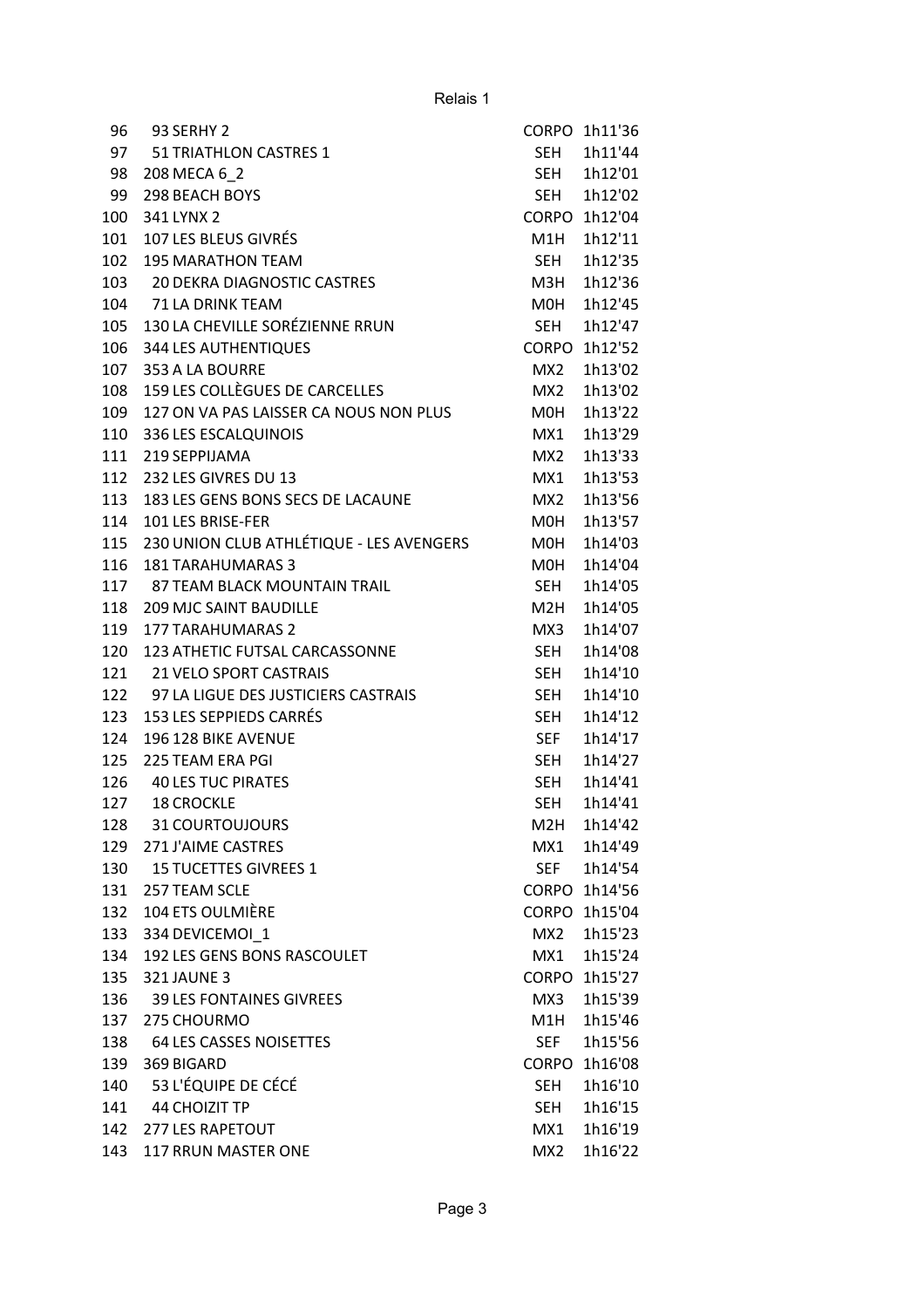| 96  | 93 SERHY 2                               | <b>CORPO</b>    | 1h11'36       |
|-----|------------------------------------------|-----------------|---------------|
| 97  | 51 TRIATHLON CASTRES 1                   | SEH             | 1h11'44       |
| 98  | 208 MECA 6 2                             | SEH             | 1h12'01       |
| 99  | <b>298 BEACH BOYS</b>                    | SEH             | 1h12'02       |
| 100 | 341 LYNX 2                               |                 | CORPO 1h12'04 |
| 101 | 107 LES BLEUS GIVRÉS                     | M1H             | 1h12'11       |
| 102 | <b>195 MARATHON TEAM</b>                 | <b>SEH</b>      | 1h12'35       |
| 103 | <b>20 DEKRA DIAGNOSTIC CASTRES</b>       | M3H             | 1h12'36       |
| 104 | 71 LA DRINK TEAM                         | M0H             | 1h12'45       |
| 105 | 130 LA CHEVILLE SORÉZIENNE RRUN          | <b>SEH</b>      | 1h12'47       |
| 106 | 344 LES AUTHENTIQUES                     |                 | CORPO 1h12'52 |
| 107 | 353 A LA BOURRE                          | MX <sub>2</sub> | 1h13'02       |
| 108 | 159 LES COLLÈGUES DE CARCELLES           | MX2             | 1h13'02       |
| 109 | 127 ON VA PAS LAISSER CA NOUS NON PLUS   | M0H             | 1h13'22       |
| 110 | 336 LES ESCALQUINOIS                     | MX1             | 1h13'29       |
| 111 | 219 SEPPIJAMA                            | MX2             | 1h13'33       |
| 112 | 232 LES GIVRES DU 13                     | MX1             | 1h13'53       |
| 113 | 183 LES GENS BONS SECS DE LACAUNE        | MX <sub>2</sub> | 1h13'56       |
| 114 | 101 LES BRISE-FER                        | M0H             | 1h13'57       |
| 115 | 230 UNION CLUB ATHLÉTIQUE - LES AVENGERS | M0H             | 1h14'03       |
| 116 | <b>181 TARAHUMARAS 3</b>                 | M0H             | 1h14'04       |
| 117 | 87 TEAM BLACK MOUNTAIN TRAIL             | SEH             | 1h14'05       |
| 118 | <b>209 MJC SAINT BAUDILLE</b>            | M2H             | 1h14'05       |
| 119 | <b>177 TARAHUMARAS 2</b>                 | MX3             | 1h14'07       |
| 120 | 123 ATHETIC FUTSAL CARCASSONNE           | SEH             | 1h14'08       |
| 121 | 21 VELO SPORT CASTRAIS                   | SEH             | 1h14'10       |
| 122 | 97 LA LIGUE DES JUSTICIERS CASTRAIS      | SEH             | 1h14'10       |
| 123 | 153 LES SEPPIEDS CARRÉS                  | SEH             | 1h14'12       |
| 124 | 196 128 BIKE AVENUE                      | <b>SEF</b>      | 1h14'17       |
| 125 | 225 TEAM ERA PGI                         | <b>SEH</b>      | 1h14'27       |
| 126 | <b>40 LES TUC PIRATES</b>                | <b>SEH</b>      | 1h14'41       |
| 127 | <b>18 CROCKLE</b>                        | SEH             | 1h14'41       |
| 128 | 31 COURTOUJOURS                          | M2H             | 1h14'42       |
| 129 | 271 J'AIME CASTRES                       | MX1             | 1h14'49       |
| 130 | 15 TUCETTES GIVREES 1                    | SEF             | 1h14'54       |
| 131 | 257 TEAM SCLE                            |                 | CORPO 1h14'56 |
| 132 | 104 ETS OULMIÈRE                         |                 | CORPO 1h15'04 |
| 133 | 334 DEVICEMOI 1                          | MX2             | 1h15'23       |
| 134 | 192 LES GENS BONS RASCOULET              | MX1             | 1h15'24       |
| 135 | <b>321 JAUNE 3</b>                       | <b>CORPO</b>    | 1h15'27       |
| 136 | <b>39 LES FONTAINES GIVREES</b>          | MX3             | 1h15'39       |
| 137 | 275 CHOURMO                              | M1H             | 1h15'46       |
| 138 | <b>64 LES CASSES NOISETTES</b>           | <b>SEF</b>      | 1h15'56       |
| 139 | 369 BIGARD                               | <b>CORPO</b>    | 1h16'08       |
| 140 | 53 L'ÉQUIPE DE CÉCÉ                      | <b>SEH</b>      | 1h16'10       |
| 141 | <b>44 CHOIZIT TP</b>                     | <b>SEH</b>      | 1h16'15       |
| 142 | <b>277 LES RAPETOUT</b>                  | MX1             | 1h16'19       |
| 143 | 117 RRUN MASTER ONE                      | MX <sub>2</sub> | 1h16'22       |
|     |                                          |                 |               |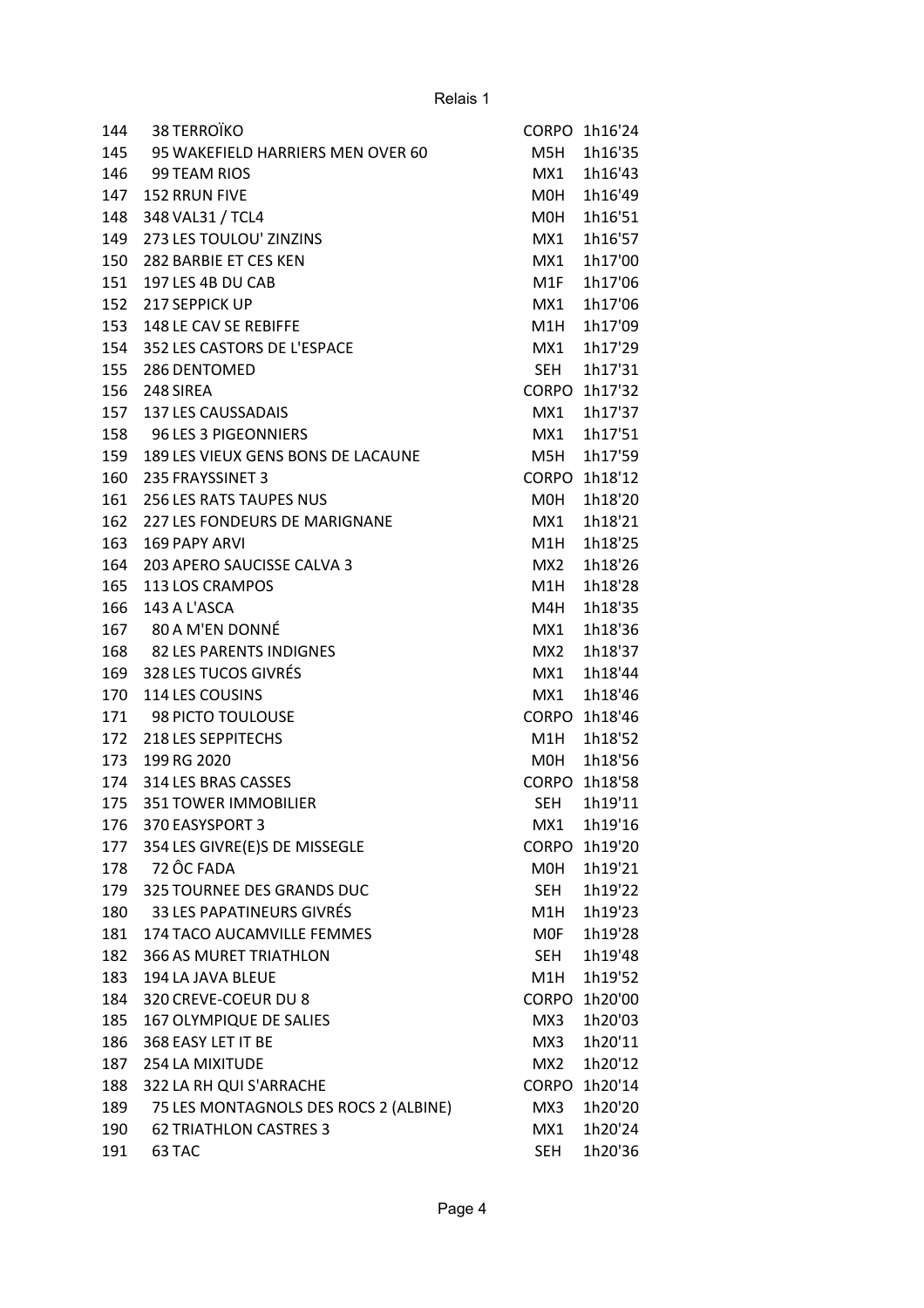| 144 | 38 TERROÏKO                           | <b>CORPO</b>     | 1h16'24       |
|-----|---------------------------------------|------------------|---------------|
| 145 | 95 WAKEFIELD HARRIERS MEN OVER 60     | M5H              | 1h16'35       |
| 146 | 99 TEAM RIOS                          | MX1              | 1h16'43       |
| 147 | 152 RRUN FIVE                         | M0H              | 1h16'49       |
| 148 | 348 VAL31 / TCL4                      | M0H              | 1h16'51       |
| 149 | 273 LES TOULOU' ZINZINS               | MX1              | 1h16'57       |
| 150 | 282 BARBIE ET CES KEN                 | MX1              | 1h17'00       |
| 151 | 197 LES 4B DU CAB                     | M <sub>1</sub> F | 1h17'06       |
| 152 | 217 SEPPICK UP                        | MX1              | 1h17'06       |
| 153 | 148 LE CAV SE REBIFFE                 | M1H              | 1h17'09       |
| 154 | 352 LES CASTORS DE L'ESPACE           | MX1              | 1h17'29       |
| 155 | 286 DENTOMED                          | <b>SEH</b>       | 1h17'31       |
| 156 | 248 SIREA                             |                  | CORPO 1h17'32 |
| 157 | <b>137 LES CAUSSADAIS</b>             | MX1              | 1h17'37       |
| 158 | 96 LES 3 PIGEONNIERS                  | MX1              | 1h17'51       |
| 159 | 189 LES VIEUX GENS BONS DE LACAUNE    | M5H              | 1h17'59       |
| 160 | 235 FRAYSSINET 3                      |                  | CORPO 1h18'12 |
| 161 | 256 LES RATS TAUPES NUS               | M0H              | 1h18'20       |
| 162 | 227 LES FONDEURS DE MARIGNANE         | MX1              | 1h18'21       |
| 163 | <b>169 PAPY ARVI</b>                  | M1H              | 1h18'25       |
| 164 | 203 APERO SAUCISSE CALVA 3            | MX <sub>2</sub>  | 1h18'26       |
| 165 | 113 LOS CRAMPOS                       | M1H              | 1h18'28       |
| 166 | 143 A L'ASCA                          | M4H              | 1h18'35       |
| 167 | 80 A M'EN DONNÉ                       | MX1              | 1h18'36       |
| 168 | 82 LES PARENTS INDIGNES               | MX <sub>2</sub>  | 1h18'37       |
| 169 | 328 LES TUCOS GIVRÉS                  | MX1              | 1h18'44       |
| 170 | 114 LES COUSINS                       | MX1              | 1h18'46       |
| 171 | 98 PICTO TOULOUSE                     |                  | CORPO 1h18'46 |
| 172 | 218 LES SEPPITECHS                    | M1H              | 1h18'52       |
| 173 | 199 RG 2020                           | M0H              | 1h18'56       |
| 174 | 314 LES BRAS CASSES                   |                  | CORPO 1h18'58 |
| 175 | <b>351 TOWER IMMOBILIER</b>           | SEH              | 1h19'11       |
| 176 | 370 EASYSPORT 3                       | MX1              | 1h19'16       |
| 177 | 354 LES GIVRE(E)S DE MISSEGLE         | <b>CORPO</b>     | 1h19'20       |
| 178 | 72 ÔC FADA                            | M0H              | 1h19'21       |
| 179 | 325 TOURNEE DES GRANDS DUC            | <b>SEH</b>       | 1h19'22       |
| 180 | <b>33 LES PAPATINEURS GIVRÉS</b>      | M1H              | 1h19'23       |
| 181 | 174 TACO AUCAMVILLE FEMMES            | <b>MOF</b>       | 1h19'28       |
| 182 | <b>366 AS MURET TRIATHLON</b>         | <b>SEH</b>       | 1h19'48       |
| 183 | 194 LA JAVA BLEUE                     | M1H              | 1h19'52       |
| 184 | 320 CREVE-COEUR DU 8                  |                  | CORPO 1h20'00 |
| 185 | 167 OLYMPIQUE DE SALIES               | MX3              | 1h20'03       |
| 186 | 368 EASY LET IT BE                    | MX3              | 1h20'11       |
| 187 | 254 LA MIXITUDE                       | MX2              | 1h20'12       |
| 188 | 322 LA RH QUI S'ARRACHE               | <b>CORPO</b>     | 1h20'14       |
| 189 | 75 LES MONTAGNOLS DES ROCS 2 (ALBINE) | MX3              | 1h20'20       |
| 190 | <b>62 TRIATHLON CASTRES 3</b>         | MX1              | 1h20'24       |
| 191 | 63 TAC                                | SEH              | 1h20'36       |
|     |                                       |                  |               |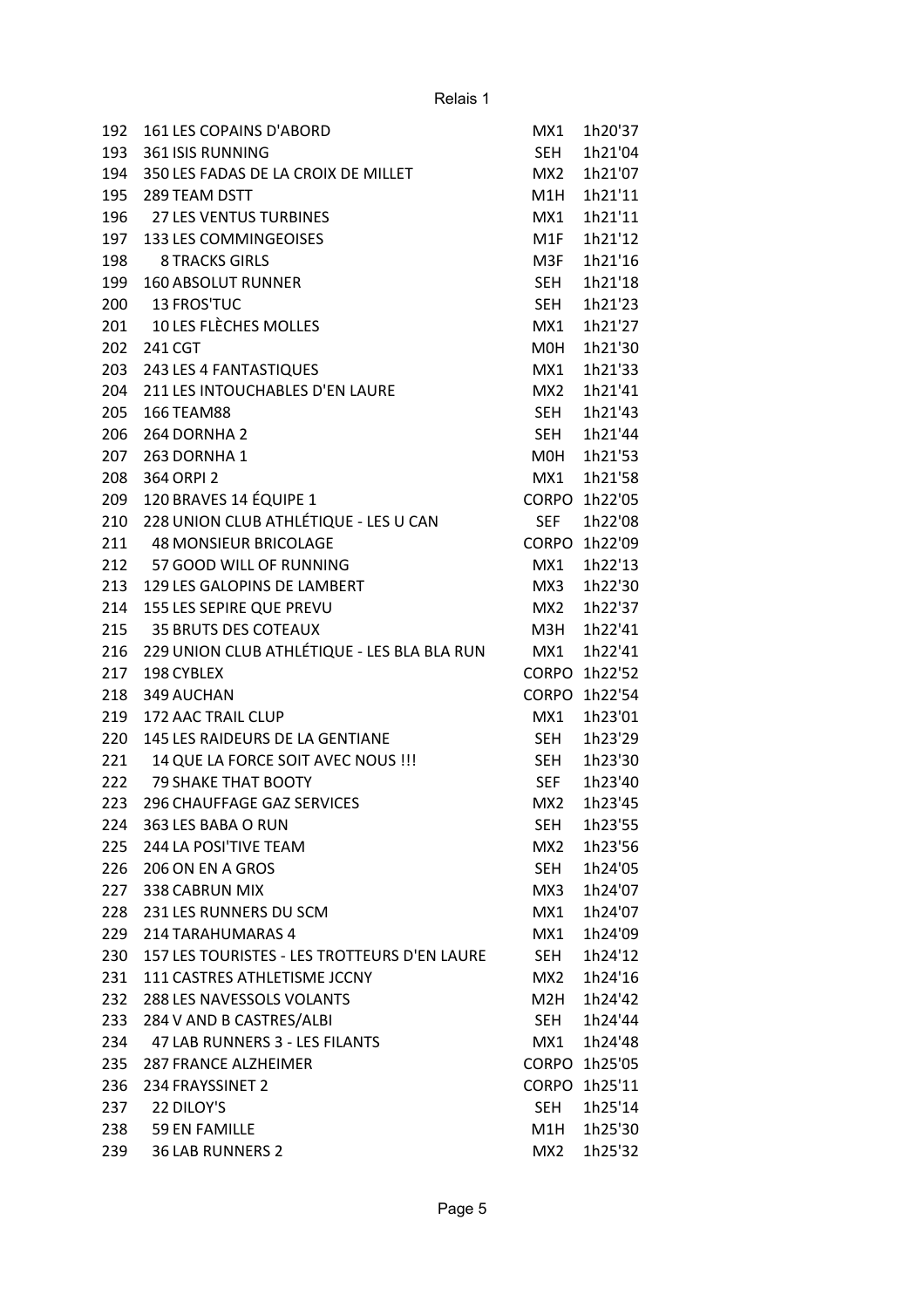| 192 | 161 LES COPAINS D'ABORD                      | MX1              | 1h20'37       |
|-----|----------------------------------------------|------------------|---------------|
| 193 | 361 ISIS RUNNING                             | <b>SEH</b>       | 1h21'04       |
| 194 | 350 LES FADAS DE LA CROIX DE MILLET          | MX <sub>2</sub>  | 1h21'07       |
| 195 | 289 TEAM DSTT                                | M1H              | 1h21'11       |
| 196 | <b>27 LES VENTUS TURBINES</b>                | MX1              | 1h21'11       |
| 197 | 133 LES COMMINGEOISES                        | M <sub>1</sub> F | 1h21'12       |
| 198 | <b>8 TRACKS GIRLS</b>                        | M3F              | 1h21'16       |
| 199 | <b>160 ABSOLUT RUNNER</b>                    | <b>SEH</b>       | 1h21'18       |
| 200 | 13 FROS'TUC                                  | <b>SEH</b>       | 1h21'23       |
| 201 | 10 LES FLÈCHES MOLLES                        | MX1              | 1h21'27       |
| 202 | 241 CGT                                      | M0H              | 1h21'30       |
| 203 | 243 LES 4 FANTASTIQUES                       | MX1              | 1h21'33       |
| 204 | 211 LES INTOUCHABLES D'EN LAURE              | MX <sub>2</sub>  | 1h21'41       |
| 205 | <b>166 TEAM88</b>                            | <b>SEH</b>       | 1h21'43       |
| 206 | 264 DORNHA 2                                 | <b>SEH</b>       | 1h21'44       |
| 207 | 263 DORNHA 1                                 | M0H              | 1h21'53       |
| 208 | 364 ORPI 2                                   | MX1              | 1h21'58       |
| 209 | 120 BRAVES 14 ÉQUIPE 1                       | <b>CORPO</b>     | 1h22'05       |
| 210 | 228 UNION CLUB ATHLÉTIQUE - LES U CAN        | <b>SEF</b>       | 1h22'08       |
|     |                                              |                  |               |
| 211 | <b>48 MONSIEUR BRICOLAGE</b>                 | CORPO            | 1h22'09       |
| 212 | 57 GOOD WILL OF RUNNING                      | MX1              | 1h22'13       |
| 213 | 129 LES GALOPINS DE LAMBERT                  | MX3              | 1h22'30       |
| 214 | 155 LES SEPIRE QUE PREVU                     | MX <sub>2</sub>  | 1h22'37       |
| 215 | <b>35 BRUTS DES COTEAUX</b>                  | M3H              | 1h22'41       |
| 216 | 229 UNION CLUB ATHLÉTIQUE - LES BLA BLA RUN  | MX1              | 1h22'41       |
| 217 | 198 CYBLEX                                   |                  | CORPO 1h22'52 |
| 218 | 349 AUCHAN                                   | <b>CORPO</b>     | 1h22'54       |
| 219 | 172 AAC TRAIL CLUP                           | MX1              | 1h23'01       |
| 220 | 145 LES RAIDEURS DE LA GENTIANE              | <b>SEH</b>       | 1h23'29       |
| 221 | 14 QUE LA FORCE SOIT AVEC NOUS !!!           | <b>SEH</b>       | 1h23'30       |
| 222 | <b>79 SHAKE THAT BOOTY</b>                   | <b>SEF</b>       | 1h23'40       |
| 223 | <b>296 CHAUFFAGE GAZ SERVICES</b>            | MX <sub>2</sub>  | 1h23'45       |
| 224 | 363 LES BABA O RUN                           | SEH              | 1h23'55       |
| 225 | 244 LA POSI'TIVE TEAM                        | MX <sub>2</sub>  | 1h23'56       |
| 226 | 206 ON EN A GROS                             | SEH              | 1h24'05       |
| 227 | 338 CABRUN MIX                               | MX3              | 1h24'07       |
| 228 | 231 LES RUNNERS DU SCM                       | MX1              | 1h24'07       |
| 229 | 214 TARAHUMARAS 4                            | MX1              | 1h24'09       |
| 230 | 157 LES TOURISTES - LES TROTTEURS D'EN LAURE | SEH              | 1h24'12       |
| 231 | 111 CASTRES ATHLETISME JCCNY                 | MX <sub>2</sub>  | 1h24'16       |
| 232 | 288 LES NAVESSOLS VOLANTS                    | M2H              | 1h24'42       |
| 233 | 284 V AND B CASTRES/ALBI                     | <b>SEH</b>       | 1h24'44       |
| 234 | 47 LAB RUNNERS 3 - LES FILANTS               | MX1              | 1h24'48       |
| 235 | <b>287 FRANCE ALZHEIMER</b>                  |                  | CORPO 1h25'05 |
| 236 | 234 FRAYSSINET 2                             |                  | CORPO 1h25'11 |
| 237 | 22 DILOY'S                                   | <b>SEH</b>       | 1h25'14       |
| 238 | 59 EN FAMILLE                                | M1H              | 1h25'30       |
| 239 | <b>36 LAB RUNNERS 2</b>                      | MX <sub>2</sub>  | 1h25'32       |
|     |                                              |                  |               |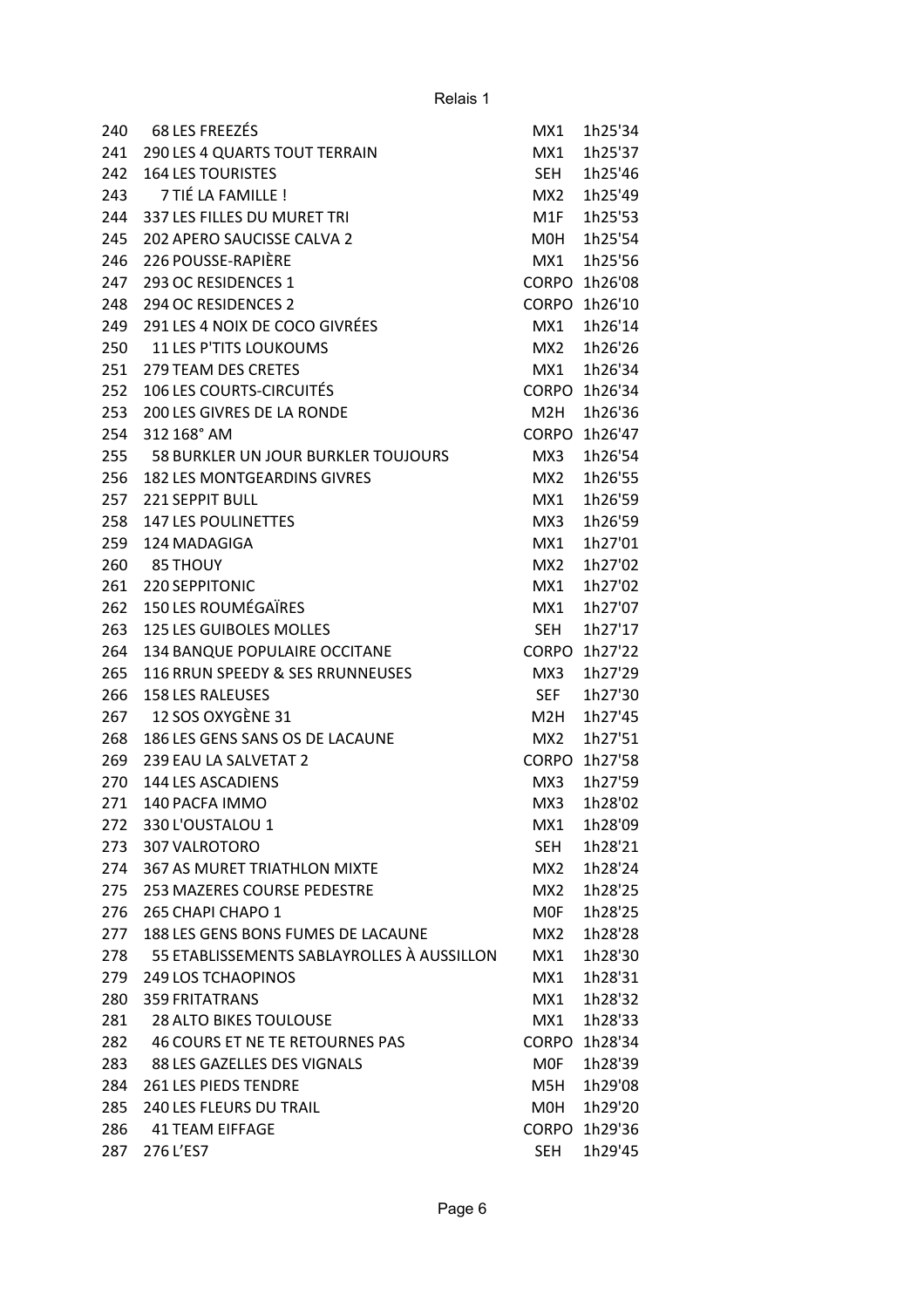| 240 | 68 LES FREEZÉS                             | MX1              | 1h25'34       |
|-----|--------------------------------------------|------------------|---------------|
| 241 | <b>290 LES 4 QUARTS TOUT TERRAIN</b>       | MX1              | 1h25'37       |
| 242 | <b>164 LES TOURISTES</b>                   | <b>SEH</b>       | 1h25'46       |
| 243 | 7 TIÉ LA FAMILLE !                         | MX <sub>2</sub>  | 1h25'49       |
| 244 | 337 LES FILLES DU MURET TRI                | M1F              | 1h25'53       |
| 245 | 202 APERO SAUCISSE CALVA 2                 | M <sub>O</sub> H | 1h25'54       |
| 246 | 226 POUSSE-RAPIÈRE                         | MX1              | 1h25'56       |
| 247 | 293 OC RESIDENCES 1                        |                  | CORPO 1h26'08 |
| 248 | 294 OC RESIDENCES 2                        | CORPO            | 1h26'10       |
| 249 | 291 LES 4 NOIX DE COCO GIVRÉES             | MX1              | 1h26'14       |
| 250 | <b>11 LES P'TITS LOUKOUMS</b>              | MX <sub>2</sub>  | 1h26'26       |
| 251 | 279 TEAM DES CRETES                        | MX1              | 1h26'34       |
| 252 | <b>106 LES COURTS-CIRCUITÉS</b>            |                  | CORPO 1h26'34 |
| 253 | 200 LES GIVRES DE LA RONDE                 | M2H              | 1h26'36       |
| 254 | 312 168° AM                                | CORPO            | 1h26'47       |
| 255 | <b>58 BURKLER UN JOUR BURKLER TOUJOURS</b> | MX3              | 1h26'54       |
| 256 | <b>182 LES MONTGEARDINS GIVRES</b>         | MX <sub>2</sub>  | 1h26'55       |
| 257 | <b>221 SEPPIT BULL</b>                     | MX1              | 1h26'59       |
| 258 | <b>147 LES POULINETTES</b>                 | MX3              | 1h26'59       |
| 259 | 124 MADAGIGA                               | MX1              | 1h27'01       |
| 260 | 85 THOUY                                   | MX <sub>2</sub>  | 1h27'02       |
| 261 | 220 SEPPITONIC                             | MX1              | 1h27'02       |
| 262 | <b>150 LES ROUMÉGAÏRES</b>                 | MX1              | 1h27'07       |
| 263 | <b>125 LES GUIBOLES MOLLES</b>             | <b>SEH</b>       | 1h27'17       |
| 264 | 134 BANQUE POPULAIRE OCCITANE              | <b>CORPO</b>     | 1h27'22       |
| 265 | 116 RRUN SPEEDY & SES RRUNNEUSES           | MX3              | 1h27'29       |
| 266 | <b>158 LES RALEUSES</b>                    | <b>SEF</b>       | 1h27'30       |
| 267 | 12 SOS OXYGÈNE 31                          | M2H              | 1h27'45       |
| 268 | 186 LES GENS SANS OS DE LACAUNE            | MX2              | 1h27'51       |
| 269 | 239 EAU LA SALVETAT 2                      |                  | CORPO 1h27'58 |
| 270 | <b>144 LES ASCADIENS</b>                   | MX3              | 1h27'59       |
| 271 | 140 PACFA IMMO                             | MX3              | 1h28'02       |
| 272 | 330 L'OUSTALOU 1                           | MX1              | 1h28'09       |
| 273 | 307 VALROTORO                              | <b>SEH</b>       | 1h28'21       |
| 274 | <b>367 AS MURET TRIATHLON MIXTE</b>        | MX2              | 1h28'24       |
| 275 | <b>253 MAZERES COURSE PEDESTRE</b>         | MX <sub>2</sub>  | 1h28'25       |
| 276 | 265 CHAPI CHAPO 1                          | MOF              | 1h28'25       |
| 277 | 188 LES GENS BONS FUMES DE LACAUNE         | MX2              | 1h28'28       |
| 278 | 55 ETABLISSEMENTS SABLAYROLLES À AUSSILLON | MX1              | 1h28'30       |
| 279 | <b>249 LOS TCHAOPINOS</b>                  | MX1              | 1h28'31       |
| 280 | <b>359 FRITATRANS</b>                      | MX1              | 1h28'32       |
| 281 | <b>28 ALTO BIKES TOULOUSE</b>              | MX1              | 1h28'33       |
| 282 | 46 COURS ET NE TE RETOURNES PAS            |                  | CORPO 1h28'34 |
| 283 | 88 LES GAZELLES DES VIGNALS                | MOF              | 1h28'39       |
| 284 | <b>261 LES PIEDS TENDRE</b>                | M5H              | 1h29'08       |
| 285 | 240 LES FLEURS DU TRAIL                    | M0H              | 1h29'20       |
| 286 | <b>41 TEAM EIFFAGE</b>                     |                  | CORPO 1h29'36 |
| 287 | 276 L'ES7                                  | <b>SEH</b>       | 1h29'45       |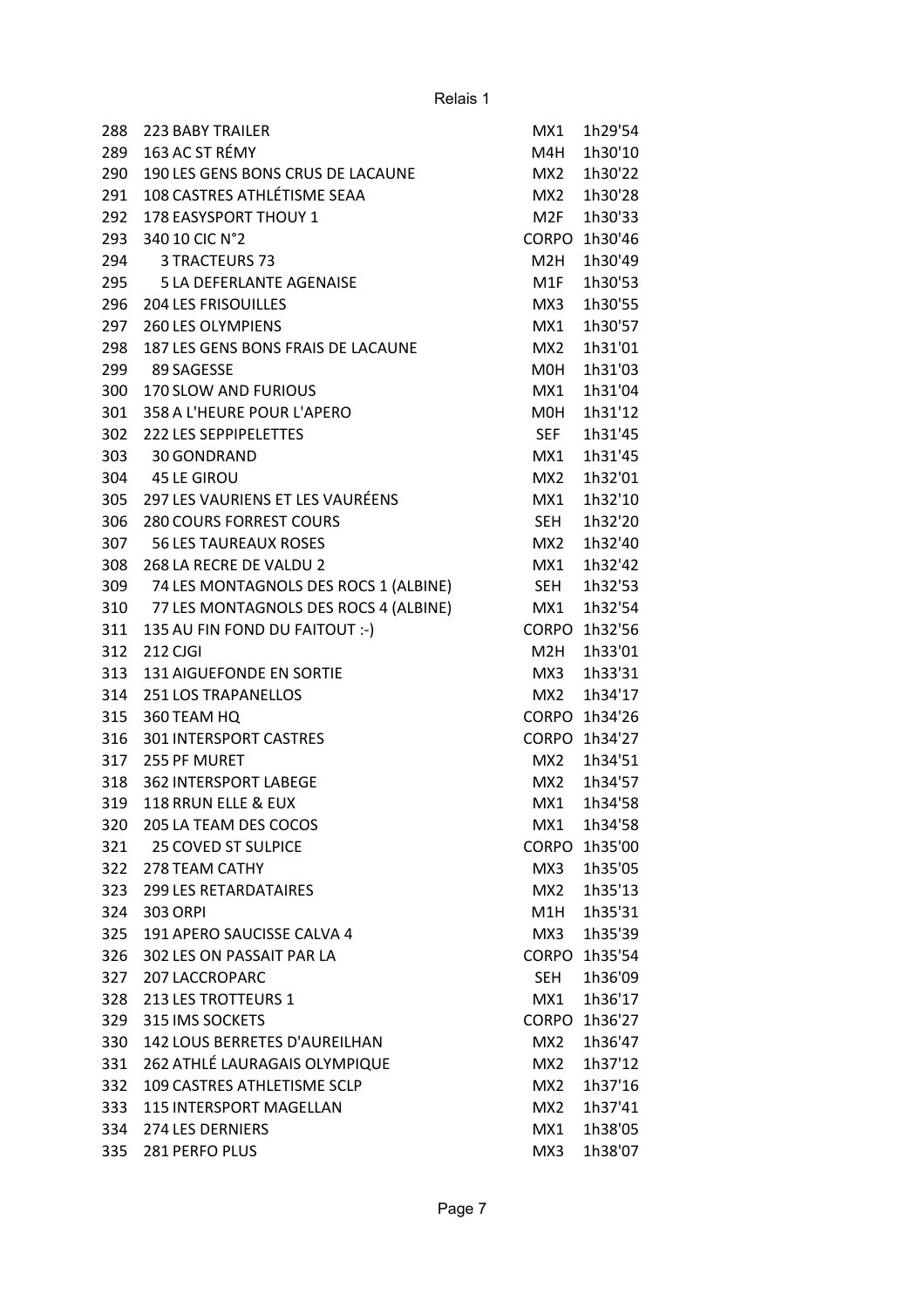| 288 | <b>223 BABY TRAILER</b>               | MX1              | 1h29'54       |
|-----|---------------------------------------|------------------|---------------|
| 289 | 163 AC ST RÉMY                        | M4H              | 1h30'10       |
| 290 | 190 LES GENS BONS CRUS DE LACAUNE     | MX2              | 1h30'22       |
| 291 | 108 CASTRES ATHLÉTISME SEAA           | MX <sub>2</sub>  | 1h30'28       |
| 292 | <b>178 EASYSPORT THOUY 1</b>          | M <sub>2F</sub>  | 1h30'33       |
| 293 | 340 10 CIC N°2                        | <b>CORPO</b>     | 1h30'46       |
| 294 | 3 TRACTEURS 73                        | M2H              | 1h30'49       |
| 295 | <b>5 LA DEFERLANTE AGENAISE</b>       | M <sub>1</sub> F | 1h30'53       |
| 296 | <b>204 LES FRISOUILLES</b>            | MX3              | 1h30'55       |
| 297 | <b>260 LES OLYMPIENS</b>              | MX1              | 1h30'57       |
| 298 | 187 LES GENS BONS FRAIS DE LACAUNE    | MX <sub>2</sub>  | 1h31'01       |
| 299 | 89 SAGESSE                            | <b>MOH</b>       | 1h31'03       |
| 300 | <b>170 SLOW AND FURIOUS</b>           | MX1              | 1h31'04       |
| 301 | 358 A L'HEURE POUR L'APERO            | M0H              | 1h31'12       |
| 302 | <b>222 LES SEPPIPELETTES</b>          | <b>SEF</b>       | 1h31'45       |
| 303 | 30 GONDRAND                           | MX1              | 1h31'45       |
| 304 | <b>45 LE GIROU</b>                    | MX <sub>2</sub>  | 1h32'01       |
| 305 | 297 LES VAURIENS ET LES VAURÉENS      | MX1              | 1h32'10       |
| 306 | <b>280 COURS FORREST COURS</b>        | <b>SEH</b>       | 1h32'20       |
| 307 | <b>56 LES TAUREAUX ROSES</b>          | MX <sub>2</sub>  | 1h32'40       |
| 308 | 268 LA RECRE DE VALDU 2               | MX1              | 1h32'42       |
| 309 | 74 LES MONTAGNOLS DES ROCS 1 (ALBINE) | SEH              | 1h32'53       |
| 310 | 77 LES MONTAGNOLS DES ROCS 4 (ALBINE) | MX1              | 1h32'54       |
| 311 | 135 AU FIN FOND DU FAITOUT :- )       | <b>CORPO</b>     | 1h32'56       |
| 312 | 212 CJGI                              | M <sub>2</sub> H | 1h33'01       |
| 313 | <b>131 AIGUEFONDE EN SORTIE</b>       | MX3              | 1h33'31       |
| 314 | <b>251 LOS TRAPANELLOS</b>            | MX <sub>2</sub>  | 1h34'17       |
| 315 | 360 TEAM HQ                           |                  | CORPO 1h34'26 |
| 316 | <b>301 INTERSPORT CASTRES</b>         |                  | CORPO 1h34'27 |
| 317 | 255 PF MURET                          | MX2              | 1h34'51       |
| 318 | <b>362 INTERSPORT LABEGE</b>          | MX2              | 1h34'57       |
| 319 | 118 RRUN ELLE & EUX                   | MX1              | 1h34'58       |
| 320 | 205 LA TEAM DES COCOS                 | MX1              | 1h34'58       |
| 321 | <b>25 COVED ST SULPICE</b>            | <b>CORPO</b>     | 1h35'00       |
| 322 | 278 TEAM CATHY                        | MX3              | 1h35'05       |
| 323 | <b>299 LES RETARDATAIRES</b>          | MX2              | 1h35'13       |
| 324 | <b>303 ORPI</b>                       | M1H              | 1h35'31       |
| 325 | 191 APERO SAUCISSE CALVA 4            | MX3              | 1h35'39       |
| 326 | 302 LES ON PASSAIT PAR LA             | <b>CORPO</b>     | 1h35'54       |
| 327 | <b>207 LACCROPARC</b>                 | SEH              | 1h36'09       |
| 328 | <b>213 LES TROTTEURS 1</b>            | MX1              | 1h36'17       |
| 329 | 315 IMS SOCKETS                       | <b>CORPO</b>     | 1h36'27       |
| 330 | 142 LOUS BERRETES D'AUREILHAN         | MX2              | 1h36'47       |
| 331 | 262 ATHLÉ LAURAGAIS OLYMPIQUE         | MX2              | 1h37'12       |
| 332 | 109 CASTRES ATHLETISME SCLP           | MX <sub>2</sub>  | 1h37'16       |
| 333 | <b>115 INTERSPORT MAGELLAN</b>        | MX <sub>2</sub>  | 1h37'41       |
| 334 | 274 LES DERNIERS                      | MX1              | 1h38'05       |
| 335 | 281 PERFO PLUS                        | MX3              | 1h38'07       |
|     |                                       |                  |               |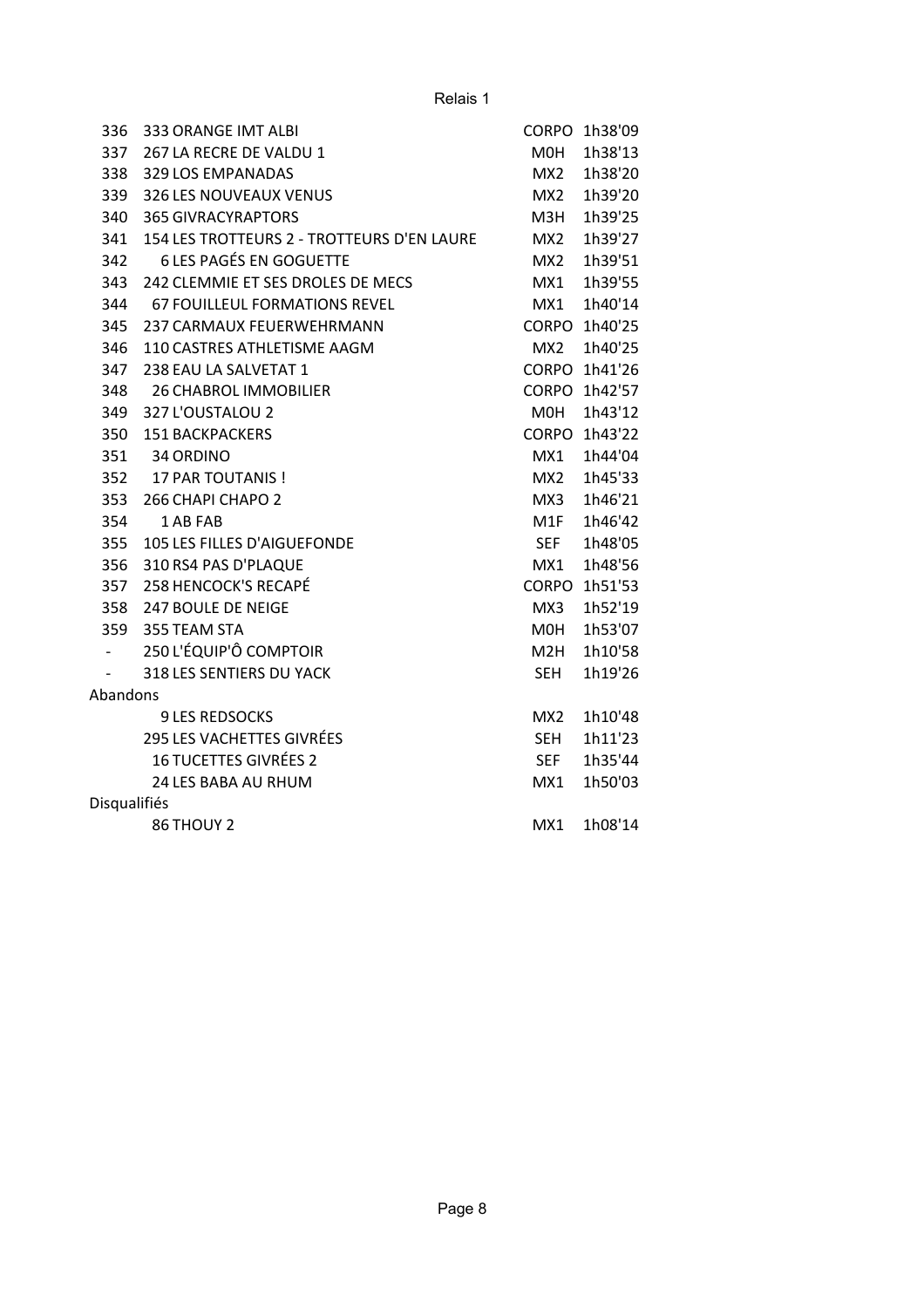| 336          | 333 ORANGE IMT ALBI                        | CORPO            | 1h38'09       |
|--------------|--------------------------------------------|------------------|---------------|
| 337          | 267 LA RECRE DE VALDU 1                    | M0H              | 1h38'13       |
| 338          | 329 LOS EMPANADAS                          | MX2              | 1h38'20       |
| 339          | <b>326 LES NOUVEAUX VENUS</b>              | MX2              | 1h39'20       |
| 340          | <b>365 GIVRACYRAPTORS</b>                  | МЗН              | 1h39'25       |
| 341          | 154 LES TROTTEURS 2 - TROTTEURS D'EN LAURE | MX <sub>2</sub>  | 1h39'27       |
| 342          | <b>6 LES PAGÉS EN GOGUETTE</b>             | MX2              | 1h39'51       |
| 343          | 242 CLEMMIE ET SES DROLES DE MECS          | MX1              | 1h39'55       |
| 344          | <b>67 FOUILLEUL FORMATIONS REVEL</b>       | MX1              | 1h40'14       |
| 345          | 237 CARMAUX FEUERWEHRMANN                  | CORPO            | 1h40'25       |
| 346          | 110 CASTRES ATHLETISME AAGM                | MX2              | 1h40'25       |
| 347          | 238 EAU LA SALVETAT 1                      |                  | CORPO 1h41'26 |
| 348          | <b>26 CHABROL IMMOBILIER</b>               |                  | CORPO 1h42'57 |
| 349          | 327 L'OUSTALOU 2                           | M0H              | 1h43'12       |
| 350          | <b>151 BACKPACKERS</b>                     | CORPO            | 1h43'22       |
| 351          | 34 ORDINO                                  | MX1              | 1h44'04       |
| 352          | 17 PAR TOUTANIS !                          | MX2              | 1h45'33       |
| 353          | 266 CHAPI CHAPO 2                          | MX3              | 1h46'21       |
| 354          | 1 AB FAB                                   | M1F              | 1h46'42       |
| 355          | 105 LES FILLES D'AIGUEFONDE                | <b>SEF</b>       | 1h48'05       |
| 356          | 310 RS4 PAS D'PLAQUE                       | MX1              | 1h48'56       |
| 357          | 258 HENCOCK'S RECAPÉ                       | CORPO            | 1h51'53       |
| 358          | <b>247 BOULE DE NEIGE</b>                  | MX3              | 1h52'19       |
| 359          | 355 TEAM STA                               | M0H              | 1h53'07       |
|              | 250 L'ÉQUIP'Ô COMPTOIR                     | M <sub>2</sub> H | 1h10'58       |
|              | 318 LES SENTIERS DU YACK                   | <b>SEH</b>       | 1h19'26       |
| Abandons     |                                            |                  |               |
|              | <b>9 LES REDSOCKS</b>                      | MX <sub>2</sub>  | 1h10'48       |
|              | 295 LES VACHETTES GIVRÉES                  | <b>SEH</b>       | 1h11'23       |
|              | <b>16 TUCETTES GIVRÉES 2</b>               | <b>SEF</b>       | 1h35'44       |
|              | <b>24 LES BABA AU RHUM</b>                 | MX1              | 1h50'03       |
| Disqualifiés |                                            |                  |               |
|              | 86 THOUY 2                                 | MX1              | 1h08'14       |